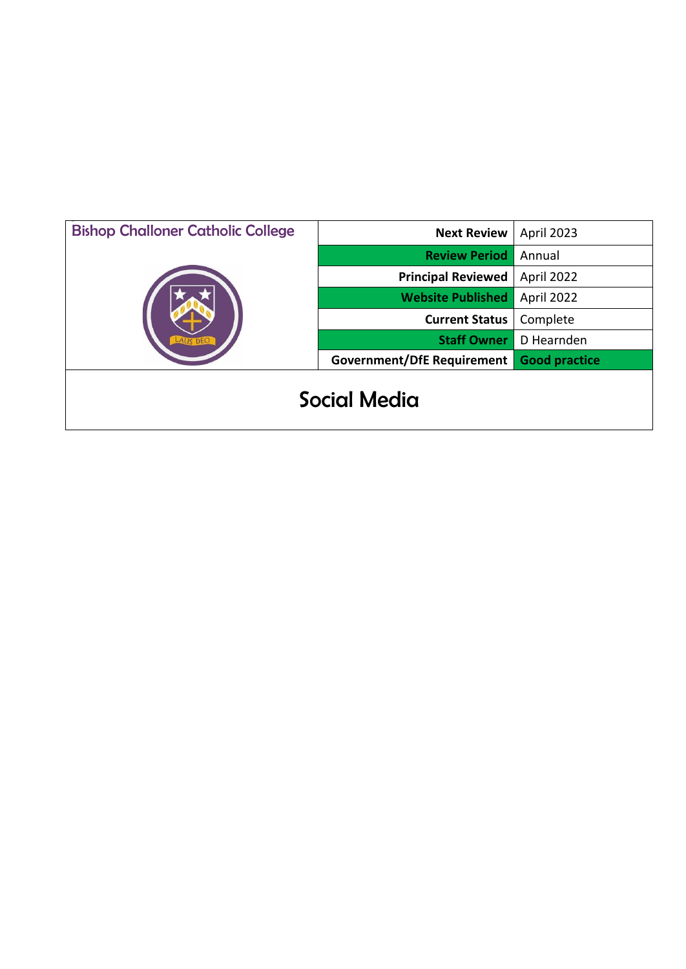| <b>Bishop Challoner Catholic College</b> | <b>Next Review</b>         | April 2023           |
|------------------------------------------|----------------------------|----------------------|
|                                          | <b>Review Period</b>       | Annual               |
|                                          | <b>Principal Reviewed</b>  | April 2022           |
|                                          | <b>Website Published</b>   | April 2022           |
|                                          | <b>Current Status</b>      | Complete             |
|                                          | <b>Staff Owner</b>         | D Hearnden           |
|                                          | Government/DfE Requirement | <b>Good practice</b> |
| Social Media                             |                            |                      |

 $\mathsf{l}$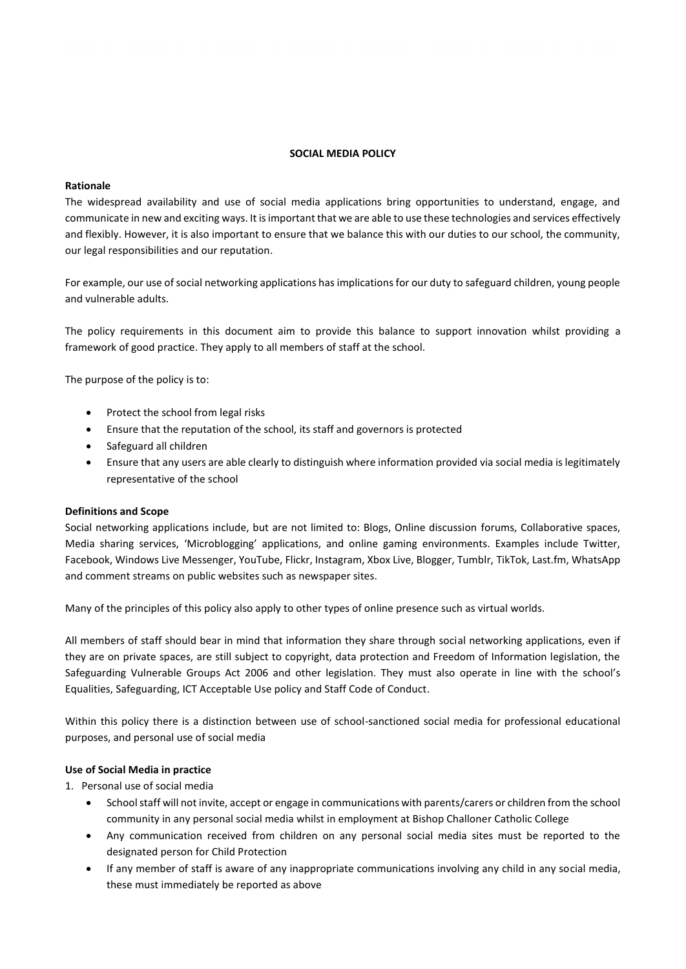## **SOCIAL MEDIA POLICY**

## **Rationale**

The widespread availability and use of social media applications bring opportunities to understand, engage, and communicate in new and exciting ways. It is important that we are able to use these technologies and services effectively and flexibly. However, it is also important to ensure that we balance this with our duties to our school, the community, our legal responsibilities and our reputation.

For example, our use of social networking applications has implications for our duty to safeguard children, young people and vulnerable adults.

The policy requirements in this document aim to provide this balance to support innovation whilst providing a framework of good practice. They apply to all members of staff at the school.

The purpose of the policy is to:

- Protect the school from legal risks
- Ensure that the reputation of the school, its staff and governors is protected
- Safeguard all children
- Ensure that any users are able clearly to distinguish where information provided via social media is legitimately representative of the school

## **Definitions and Scope**

Social networking applications include, but are not limited to: Blogs, Online discussion forums, Collaborative spaces, Media sharing services, 'Microblogging' applications, and online gaming environments. Examples include Twitter, Facebook, Windows Live Messenger, YouTube, Flickr, Instagram, Xbox Live, Blogger, Tumblr, TikTok, Last.fm, WhatsApp and comment streams on public websites such as newspaper sites.

Many of the principles of this policy also apply to other types of online presence such as virtual worlds.

All members of staff should bear in mind that information they share through social networking applications, even if they are on private spaces, are still subject to copyright, data protection and Freedom of Information legislation, the Safeguarding Vulnerable Groups Act 2006 and other legislation. They must also operate in line with the school's Equalities, Safeguarding, ICT Acceptable Use policy and Staff Code of Conduct.

Within this policy there is a distinction between use of school-sanctioned social media for professional educational purposes, and personal use of social media

## **Use of Social Media in practice**

1. Personal use of social media

- School staff will not invite, accept or engage in communications with parents/carers or children from the school community in any personal social media whilst in employment at Bishop Challoner Catholic College
- Any communication received from children on any personal social media sites must be reported to the designated person for Child Protection
- If any member of staff is aware of any inappropriate communications involving any child in any social media, these must immediately be reported as above